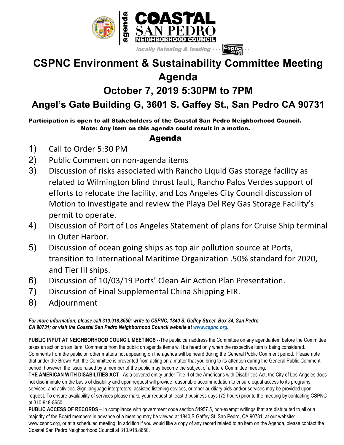

locally listening & leading .

# **CSPNC Environment & Sustainability Committee Meeting**

## **Agenda**

### **October 7, 2019 5:30PM to 7PM**

### **Angel's Gate Building G, 3601 S. Gaffey St., San Pedro CA 90731**

Participation is open to all Stakeholders of the Coastal San Pedro Neighborhood Council. Note: Any item on this agenda could result in a motion.

#### Agenda

- 1) Call to Order 5:30 PM
- 2) Public Comment on non-agenda items
- 3) Discussion of risks associated with Rancho Liquid Gas storage facility as related to Wilmington blind thrust fault, Rancho Palos Verdes support of efforts to relocate the facility, and Los Angeles City Council discussion of Motion to investigate and review the Playa Del Rey Gas Storage Facility's permit to operate.
- 4) Discussion of Port of Los Angeles Statement of plans for Cruise Ship terminal in Outer Harbor.
- 5) Discussion of ocean going ships as top air pollution source at Ports, transition to International Maritime Organization .50% standard for 2020, and Tier III ships.
- 6) Discussion of 10/03/19 Ports' Clean Air Action Plan Presentation.
- 7) Discussion of Final Supplemental China Shipping EIR.
- 8) Adjournment

*For more information, please call 310.918.8650; write to CSPNC, 1840 S. Gaffey Street, Box 34, San Pedro, CA 90731; or visit the Coastal San Pedro Neighborhood Council website at www.cspnc.org.*

**PUBLIC INPUT AT NEIGHBORHOOD COUNCIL MEETINGS** --The public can address the Committee on any agenda item before the Committee takes an action on an item. Comments from the public on agenda items will be heard only when the respective item is being considered. Comments from the public on other matters not appearing on the agenda will be heard during the General Public Comment period. Please note that under the Brown Act, the Committee is prevented from acting on a matter that you bring to its attention during the General Public Comment period; however, the issue raised by a member of the public may become the subject of a future Committee meeting.

**THE AMERICAN WITH DISABILITIES ACT** - As a covered entity under Title II of the Americans with Disabilities Act, the City of Los Angeles does not discriminate on the basis of disability and upon request will provide reasonable accommodation to ensure equal access to its programs, services, and activities. Sign language interpreters, assisted listening devices, or other auxiliary aids and/or services may be provided upon request. To ensure availability of services please make your request at least 3 business days (72 hours) prior to the meeting by contacting CSPNC at 310-918-8650

**PUBLIC ACCESS OF RECORDS** – In compliance with government code section 54957.5, non-exempt writings that are distributed to all or a majority of the Board members in advance of a meeting may be viewed at 1840 S Gaffey St, San Pedro, CA 90731, at our website: www.cspnc.org, or at a scheduled meeting. In addition if you would like a copy of any record related to an item on the Agenda, please contact the Coastal San Pedro Neighborhood Council at 310.918.8650.